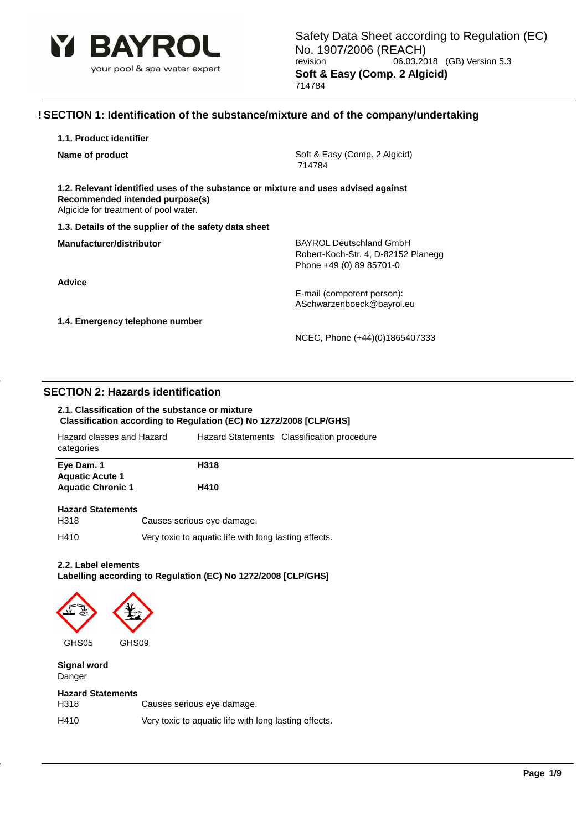

### **! SECTION 1: Identification of the substance/mixture and of the company/undertaking**

| 1.1. Product identifier |  |
|-------------------------|--|
|-------------------------|--|

**Name of product Soft & Easy (Comp. 2 Algicid)** Soft & Easy (Comp. 2 Algicid) 714784

**1.2. Relevant identified uses of the substance or mixture and uses advised against Recommended intended purpose(s)** Algicide for treatment of pool water.

#### **1.3. Details of the supplier of the safety data sheet**

**Advice**

**Manufacturer/distributor** BAYROL Deutschland GmbH Robert-Koch-Str. 4, D-82152 Planegg Phone +49 (0) 89 85701-0

> E-mail (competent person): ASchwarzenboeck@bayrol.eu

**1.4. Emergency telephone number**

NCEC, Phone (+44)(0)1865407333

### **SECTION 2: Hazards identification**

#### **2.1. Classification of the substance or mixture Classification according to Regulation (EC) No 1272/2008 [CLP/GHS]**

| Hazard classes and Hazard<br>categories |                            | Hazard Statements Classification procedure |
|-----------------------------------------|----------------------------|--------------------------------------------|
| Eye Dam. 1<br><b>Aquatic Acute 1</b>    | H318                       |                                            |
| <b>Aquatic Chronic 1</b>                | H410                       |                                            |
| <b>Hazard Statements</b><br>H318        | Causes serious eye damage. |                                            |

H410 Very toxic to aquatic life with long lasting effects.

### **2.2. Label elements**

**Labelling according to Regulation (EC) No 1272/2008 [CLP/GHS]**



**Signal word** Danger

#### **Hazard Statements**

| H318 | Causes serious eye damage.                            |
|------|-------------------------------------------------------|
| H410 | Very toxic to aquatic life with long lasting effects. |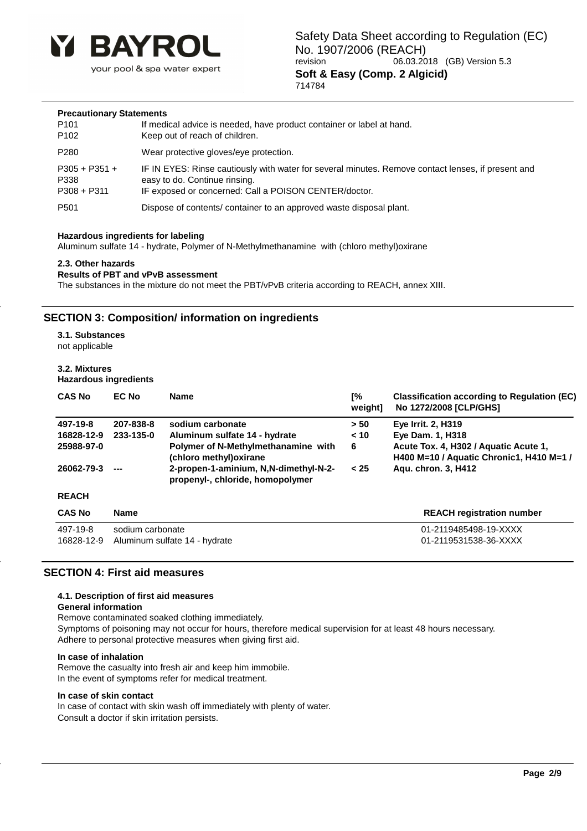

#### **Precautionary Statements**

| P <sub>101</sub> | If medical advice is needed, have product container or label at hand.                              |
|------------------|----------------------------------------------------------------------------------------------------|
| P <sub>102</sub> | Keep out of reach of children.                                                                     |
| P280             | Wear protective gloves/eye protection.                                                             |
| $P305 + P351 +$  | IF IN EYES: Rinse cautiously with water for several minutes. Remove contact lenses, if present and |
| P338             | easy to do. Continue rinsing.                                                                      |
| $P308 + P311$    | IF exposed or concerned: Call a POISON CENTER/doctor.                                              |
| P <sub>501</sub> | Dispose of contents/ container to an approved waste disposal plant.                                |

#### **Hazardous ingredients for labeling**

Aluminum sulfate 14 - hydrate, Polymer of N-Methylmethanamine with (chloro methyl)oxirane

#### **2.3. Other hazards**

#### **Results of PBT and vPvB assessment**

The substances in the mixture do not meet the PBT/vPvB criteria according to REACH, annex XIII.

### **SECTION 3: Composition/ information on ingredients**

**3.1. Substances**

not applicable

#### **3.2. Mixtures**

**Hazardous ingredients**

| <b>CAS No</b> | <b>EC No</b>     | <b>Name</b>                                                               | Г%<br>weight] | <b>Classification according to Regulation (EC)</b><br>No 1272/2008 [CLP/GHS]      |
|---------------|------------------|---------------------------------------------------------------------------|---------------|-----------------------------------------------------------------------------------|
| 497-19-8      | 207-838-8        | sodium carbonate                                                          | > 50          | <b>Eye Irrit. 2, H319</b>                                                         |
| 16828-12-9    | 233-135-0        | Aluminum sulfate 14 - hydrate                                             | < 10          | Eye Dam. 1, H318                                                                  |
| 25988-97-0    |                  | Polymer of N-Methylmethanamine with<br>(chloro methyl) oxirane            | 6             | Acute Tox. 4, H302 / Aquatic Acute 1,<br>H400 M=10 / Aquatic Chronic1, H410 M=1 / |
| 26062-79-3    |                  | 2-propen-1-aminium, N,N-dimethyl-N-2-<br>propenyl-, chloride, homopolymer | < 25          | Agu. chron. 3, H412                                                               |
| <b>REACH</b>  |                  |                                                                           |               |                                                                                   |
| <b>CAS No</b> | <b>Name</b>      |                                                                           |               | <b>REACH registration number</b>                                                  |
| 497-19-8      | sodium carbonate |                                                                           |               | 01-2119485498-19-XXXX                                                             |
| 16828-12-9    |                  | Aluminum sulfate 14 - hydrate                                             |               | 01-2119531538-36-XXXX                                                             |

### **SECTION 4: First aid measures**

#### **4.1. Description of first aid measures**

#### **General information**

Remove contaminated soaked clothing immediately. Symptoms of poisoning may not occur for hours, therefore medical supervision for at least 48 hours necessary.

Adhere to personal protective measures when giving first aid.

#### **In case of inhalation**

Remove the casualty into fresh air and keep him immobile. In the event of symptoms refer for medical treatment.

#### **In case of skin contact**

In case of contact with skin wash off immediately with plenty of water. Consult a doctor if skin irritation persists.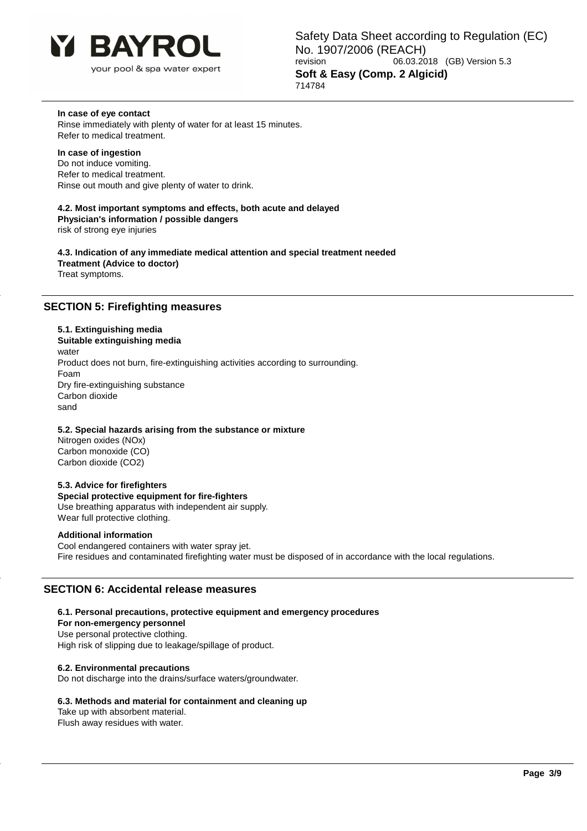

#### **In case of eye contact**

Rinse immediately with plenty of water for at least 15 minutes. Refer to medical treatment.

#### **In case of ingestion**

Do not induce vomiting. Refer to medical treatment. Rinse out mouth and give plenty of water to drink.

**4.2. Most important symptoms and effects, both acute and delayed Physician's information / possible dangers**

risk of strong eye injuries

**4.3. Indication of any immediate medical attention and special treatment needed Treatment (Advice to doctor)** Treat symptoms.

### **SECTION 5: Firefighting measures**

#### **5.1. Extinguishing media**

**Suitable extinguishing media** water Product does not burn, fire-extinguishing activities according to surrounding. Foam Dry fire-extinguishing substance Carbon dioxide sand

#### **5.2. Special hazards arising from the substance or mixture**

Nitrogen oxides (NOx) Carbon monoxide (CO) Carbon dioxide (CO2)

#### **5.3. Advice for firefighters**

**Special protective equipment for fire-fighters** Use breathing apparatus with independent air supply. Wear full protective clothing.

### **Additional information**

Cool endangered containers with water spray jet. Fire residues and contaminated firefighting water must be disposed of in accordance with the local regulations.

### **SECTION 6: Accidental release measures**

#### **6.1. Personal precautions, protective equipment and emergency procedures**

**For non-emergency personnel**

Use personal protective clothing.

High risk of slipping due to leakage/spillage of product.

#### **6.2. Environmental precautions**

Do not discharge into the drains/surface waters/groundwater.

#### **6.3. Methods and material for containment and cleaning up**

Take up with absorbent material. Flush away residues with water.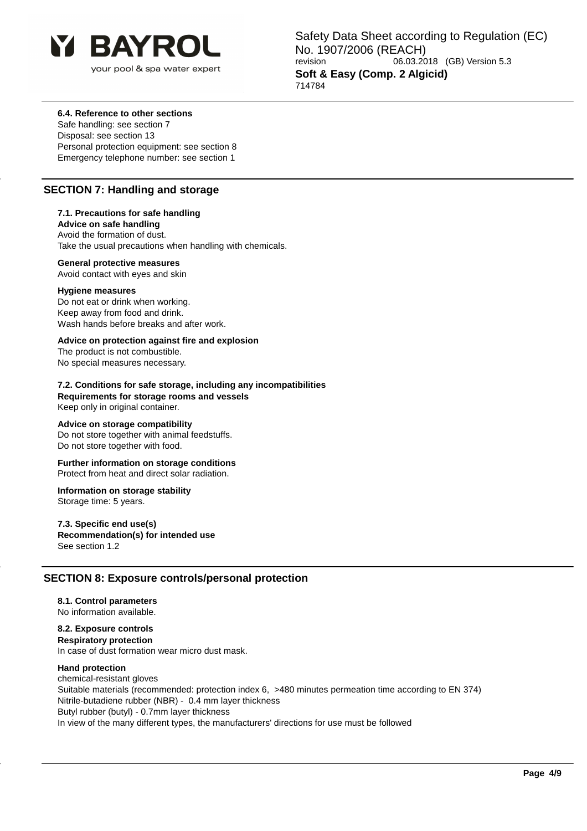

Safety Data Sheet according to Regulation (EC) No. 1907/2006 (REACH)<br>
revision 06.03.20 06.03.2018 (GB) Version 5.3 **Soft & Easy (Comp. 2 Algicid)** 714784

#### **6.4. Reference to other sections**

Safe handling: see section 7 Disposal: see section 13 Personal protection equipment: see section 8 Emergency telephone number: see section 1

### **SECTION 7: Handling and storage**

#### **7.1. Precautions for safe handling**

**Advice on safe handling** Avoid the formation of dust. Take the usual precautions when handling with chemicals.

#### **General protective measures**

Avoid contact with eyes and skin

#### **Hygiene measures**

Do not eat or drink when working. Keep away from food and drink. Wash hands before breaks and after work.

### **Advice on protection against fire and explosion**

The product is not combustible. No special measures necessary.

### **7.2. Conditions for safe storage, including any incompatibilities**

**Requirements for storage rooms and vessels** Keep only in original container.

#### **Advice on storage compatibility**

Do not store together with animal feedstuffs. Do not store together with food.

### **Further information on storage conditions**

Protect from heat and direct solar radiation.

#### **Information on storage stability**

Storage time: 5 years.

### **7.3. Specific end use(s)**

**Recommendation(s) for intended use**

See section 1.2

# **SECTION 8: Exposure controls/personal protection**

### **8.1. Control parameters**

No information available.

# **8.2. Exposure controls**

**Respiratory protection** In case of dust formation wear micro dust mask.

#### **Hand protection**

chemical-resistant gloves Suitable materials (recommended: protection index 6, >480 minutes permeation time according to EN 374) Nitrile-butadiene rubber (NBR) - 0.4 mm layer thickness Butyl rubber (butyl) - 0.7mm layer thickness In view of the many different types, the manufacturers' directions for use must be followed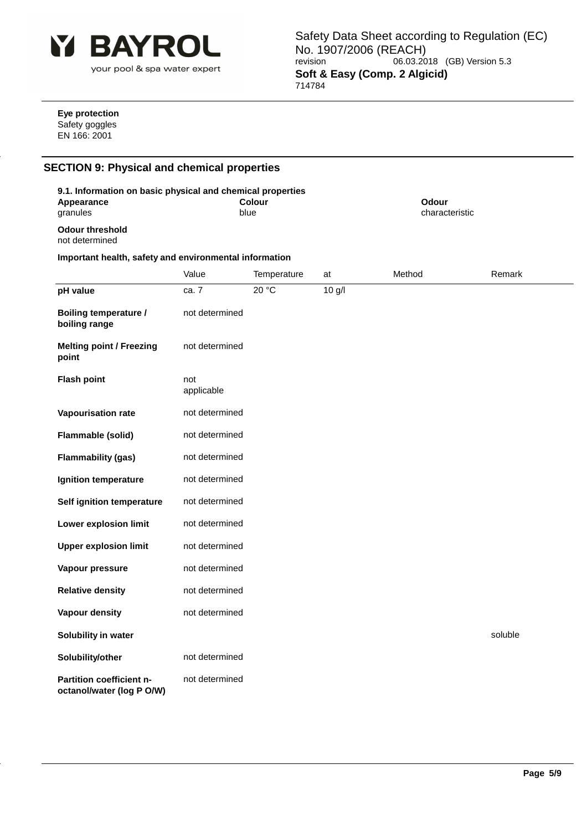

Safety Data Sheet according to Regulation (EC) No. 1907/2006 (REACH) revision 06.03.2018 (GB) Version 5.3 **Soft & Easy (Comp. 2 Algicid)** 714784

#### **Eye protection** Safety goggles EN 166: 2001

# **SECTION 9: Physical and chemical properties**

| 9.1. Information on basic physical and chemical properties<br><b>Appearance</b><br>granules |                   | <b>Colour</b><br>blue |          | Odour<br>characteristic |         |
|---------------------------------------------------------------------------------------------|-------------------|-----------------------|----------|-------------------------|---------|
| <b>Odour threshold</b><br>not determined                                                    |                   |                       |          |                         |         |
| Important health, safety and environmental information                                      |                   |                       |          |                         |         |
|                                                                                             | Value             | Temperature           | at       | Method                  | Remark  |
| pH value                                                                                    | ca. 7             | 20 °C                 | $10$ g/l |                         |         |
| Boiling temperature /<br>boiling range                                                      | not determined    |                       |          |                         |         |
| <b>Melting point / Freezing</b><br>point                                                    | not determined    |                       |          |                         |         |
| <b>Flash point</b>                                                                          | not<br>applicable |                       |          |                         |         |
| Vapourisation rate                                                                          | not determined    |                       |          |                         |         |
| Flammable (solid)                                                                           | not determined    |                       |          |                         |         |
| <b>Flammability (gas)</b>                                                                   | not determined    |                       |          |                         |         |
| Ignition temperature                                                                        | not determined    |                       |          |                         |         |
| Self ignition temperature                                                                   | not determined    |                       |          |                         |         |
| Lower explosion limit                                                                       | not determined    |                       |          |                         |         |
| <b>Upper explosion limit</b>                                                                | not determined    |                       |          |                         |         |
| Vapour pressure                                                                             | not determined    |                       |          |                         |         |
| <b>Relative density</b>                                                                     | not determined    |                       |          |                         |         |
| Vapour density                                                                              | not determined    |                       |          |                         |         |
| Solubility in water                                                                         |                   |                       |          |                         | soluble |
| Solubility/other                                                                            | not determined    |                       |          |                         |         |
| Partition coefficient n-<br>octanol/water (log P O/W)                                       | not determined    |                       |          |                         |         |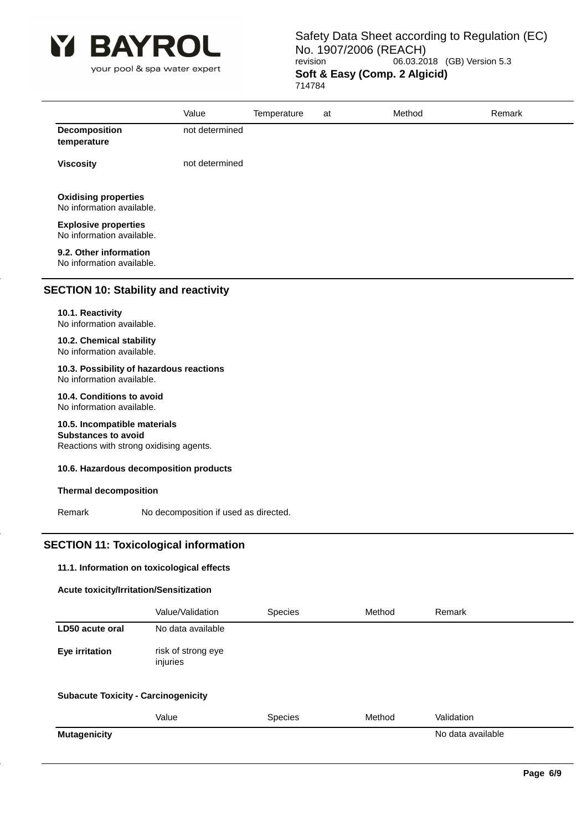

your pool & spa water expert

### Safety Data Sheet according to Regulation (EC) No. 1907/2006 (REACH)<br>revision 06.03.20 06.03.2018 (GB) Version 5.3 **Soft & Easy (Comp. 2 Algicid)** 714784

|                                                          | Value          | Temperature | at | Method | Remark |
|----------------------------------------------------------|----------------|-------------|----|--------|--------|
| Decomposition<br>temperature                             | not determined |             |    |        |        |
| <b>Viscosity</b>                                         | not determined |             |    |        |        |
| <b>Oxidising properties</b><br>No information available. |                |             |    |        |        |
| <b>Explosive properties</b><br>No information available. |                |             |    |        |        |
| 9.2. Other information<br>No information available.      |                |             |    |        |        |

## **SECTION 10: Stability and reactivity**

### **10.1. Reactivity**

No information available.

**10.2. Chemical stability** No information available.

# **10.3. Possibility of hazardous reactions**

No information available.

#### **10.4. Conditions to avoid** No information available.

# **10.5. Incompatible materials**

**Substances to avoid**

Reactions with strong oxidising agents.

#### **10.6. Hazardous decomposition products**

#### **Thermal decomposition**

Remark No decomposition if used as directed.

### **SECTION 11: Toxicological information**

### **11.1. Information on toxicological effects**

#### **Acute toxicity/Irritation/Sensitization**

|                                            | Value/Validation               | <b>Species</b> | Method | Remark            |  |
|--------------------------------------------|--------------------------------|----------------|--------|-------------------|--|
| LD50 acute oral                            | No data available              |                |        |                   |  |
| Eye irritation                             | risk of strong eye<br>injuries |                |        |                   |  |
| <b>Subacute Toxicity - Carcinogenicity</b> |                                |                |        |                   |  |
|                                            | Value                          | <b>Species</b> | Method | Validation        |  |
| <b>Mutagenicity</b>                        |                                |                |        | No data available |  |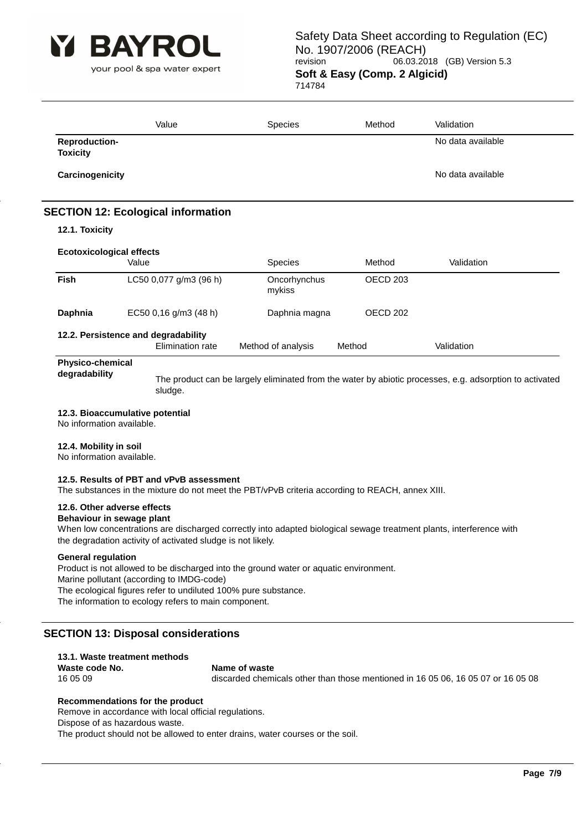

your pool & spa water expert

### Safety Data Sheet according to Regulation (EC) No. 1907/2006 (REACH)<br>106.03.20 06.03.20 06.03.2018 (GB) Version 5.3 **Soft & Easy (Comp. 2 Algicid)** 714784

|                                         | Value | <b>Species</b> | Method | Validation        |
|-----------------------------------------|-------|----------------|--------|-------------------|
| <b>Reproduction-</b><br><b>Toxicity</b> |       |                |        | No data available |
| Carcinogenicity                         |       |                |        | No data available |
|                                         |       |                |        |                   |

# **SECTION 12: Ecological information**

#### **12.1. Toxicity**

| <b>Ecotoxicological effects</b> |                                                         |                        |                     |            |  |  |
|---------------------------------|---------------------------------------------------------|------------------------|---------------------|------------|--|--|
|                                 | Value                                                   | <b>Species</b>         | Method              | Validation |  |  |
| Fish                            | LC50 0,077 g/m3 (96 h)                                  | Oncorhynchus<br>mykiss | OECD <sub>203</sub> |            |  |  |
| Daphnia                         | EC50 0,16 g/m3 (48 h)                                   | Daphnia magna          | OECD 202            |            |  |  |
|                                 | 12.2. Persistence and degradability<br>Elimination rate | Method of analysis     | Method              | Validation |  |  |

# **Physico-chemical**

**degradability** The product can be largely eliminated from the water by abiotic processes, e.g. adsorption to activated sludge.

#### **12.3. Bioaccumulative potential**

No information available.

#### **12.4. Mobility in soil**

No information available.

#### **12.5. Results of PBT and vPvB assessment**

The substances in the mixture do not meet the PBT/vPvB criteria according to REACH, annex XIII.

#### **12.6. Other adverse effects**

#### **Behaviour in sewage plant**

When low concentrations are discharged correctly into adapted biological sewage treatment plants, interference with the degradation activity of activated sludge is not likely.

#### **General regulation**

Product is not allowed to be discharged into the ground water or aquatic environment. Marine pollutant (according to IMDG-code) The ecological figures refer to undiluted 100% pure substance. The information to ecology refers to main component.

### **SECTION 13: Disposal considerations**

| 13.1. Waste treatment methods |                                                                                  |
|-------------------------------|----------------------------------------------------------------------------------|
| Waste code No.                | Name of waste                                                                    |
| 16 05 09                      | discarded chemicals other than those mentioned in 16 05 06, 16 05 07 or 16 05 08 |
|                               |                                                                                  |

#### **Recommendations for the product**

Remove in accordance with local official regulations. Dispose of as hazardous waste. The product should not be allowed to enter drains, water courses or the soil.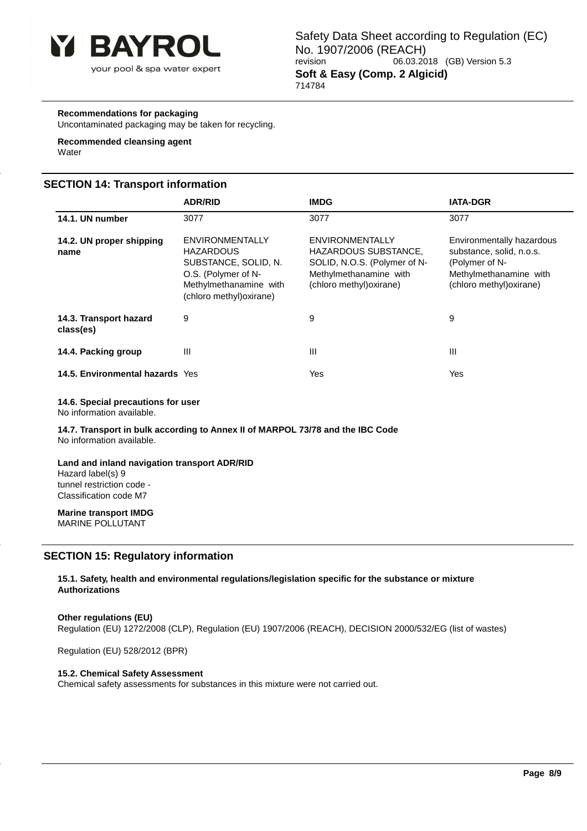

### **Recommendations for packaging**

Uncontaminated packaging may be taken for recycling.

# **Recommended cleansing agent**

**Water** 

### **SECTION 14: Transport information**

|                                     | <b>ADR/RID</b>                                                                                                                           | <b>IMDG</b>                                                                                                                          | <b>IATA-DGR</b>                                                                                                               |
|-------------------------------------|------------------------------------------------------------------------------------------------------------------------------------------|--------------------------------------------------------------------------------------------------------------------------------------|-------------------------------------------------------------------------------------------------------------------------------|
| 14.1. UN number                     | 3077                                                                                                                                     | 3077                                                                                                                                 | 3077                                                                                                                          |
| 14.2. UN proper shipping<br>name    | ENVIRONMENTALLY<br><b>HAZARDOUS</b><br>SUBSTANCE, SOLID, N.<br>O.S. (Polymer of N-<br>Methylmethanamine with<br>(chloro methyl) oxirane) | <b>ENVIRONMENTALLY</b><br>HAZARDOUS SUBSTANCE,<br>SOLID, N.O.S. (Polymer of N-<br>Methylmethanamine with<br>(chloro methyl) oxirane) | Environmentally hazardous<br>substance, solid, n.o.s.<br>(Polymer of N-<br>Methylmethanamine with<br>(chloro methyl) oxirane) |
| 14.3. Transport hazard<br>class(es) | 9                                                                                                                                        | 9                                                                                                                                    | 9                                                                                                                             |
| 14.4. Packing group                 | Ш                                                                                                                                        | Ш                                                                                                                                    | Ш                                                                                                                             |
| 14.5. Environmental hazards Yes     |                                                                                                                                          | Yes                                                                                                                                  | Yes                                                                                                                           |

#### **14.6. Special precautions for user**

No information available.

**14.7. Transport in bulk according to Annex II of MARPOL 73/78 and the IBC Code** No information available.

#### **Land and inland navigation transport ADR/RID** Hazard label(s) 9

tunnel restriction code - Classification code M7

**Marine transport IMDG** MARINE POLLUTANT

### **SECTION 15: Regulatory information**

**15.1. Safety, health and environmental regulations/legislation specific for the substance or mixture Authorizations**

#### **Other regulations (EU)**

Regulation (EU) 1272/2008 (CLP), Regulation (EU) 1907/2006 (REACH), DECISION 2000/532/EG (list of wastes)

Regulation (EU) 528/2012 (BPR)

#### **15.2. Chemical Safety Assessment**

Chemical safety assessments for substances in this mixture were not carried out.